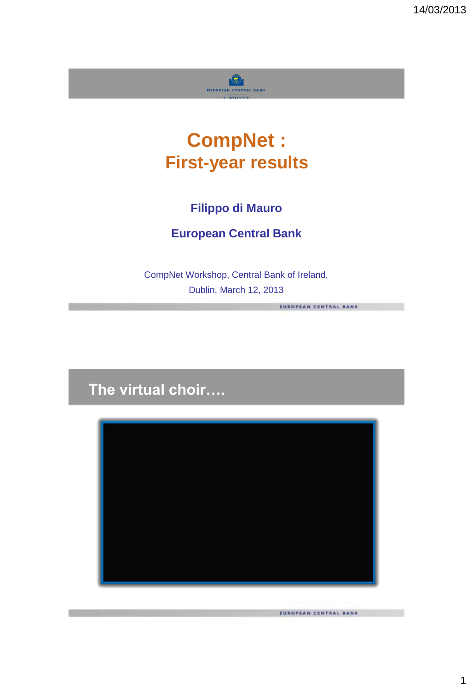

# **CompNet : First-year results**

# **Filippo di Mauro**

## **European Central Bank**

CompNet Workshop, Central Bank of Ireland, Dublin, March 12, 2013

# **The virtual choir….**



EUROPEAN CENTRAL BANK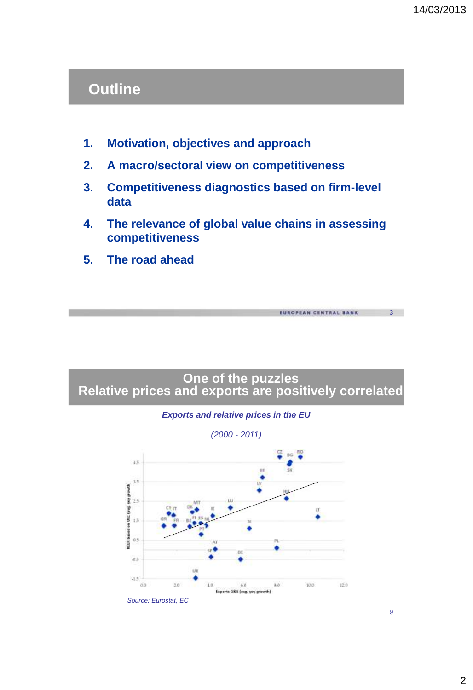# **Outline**

- **1. Motivation, objectives and approach**
- **2. A macro/sectoral view on competitiveness**
- **3. Competitiveness diagnostics based on firm-level data**
- **4. The relevance of global value chains in assessing competitiveness**
- **5. The road ahead**





9

3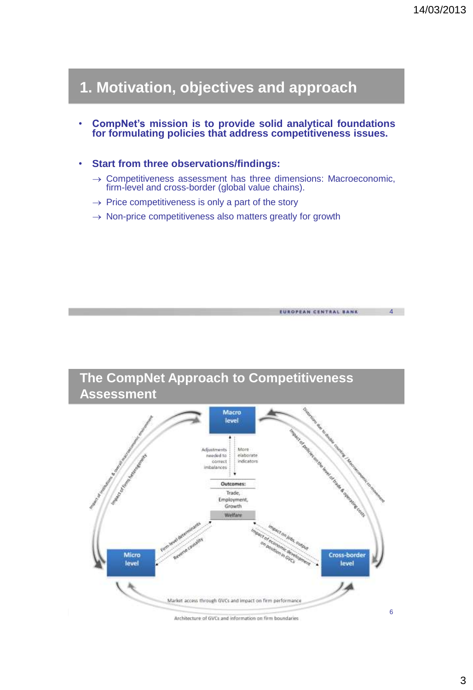EUROPEAN CENTRAL BANK

# **1. Motivation, objectives and approach**

- **CompNet's mission is to provide solid analytical foundations for formulating policies that address competitiveness issues.**
- **Start from three observations/findings:**
	- $\rightarrow$  Competitiveness assessment has three dimensions: Macroeconomic, firm-level and cross-border (global value chains).
	- $\rightarrow$  Price competitiveness is only a part of the story
	- $\rightarrow$  Non-price competitiveness also matters greatly for growth

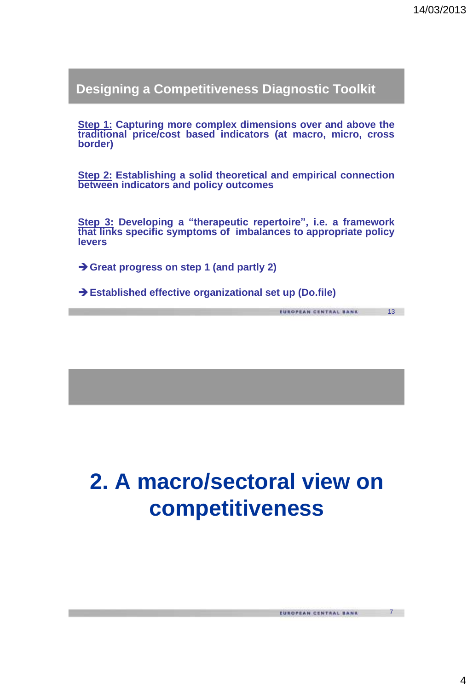7

**Designing a Competitiveness Diagnostic Toolkit**

**Step 1: Capturing more complex dimensions over and above the traditional price/cost based indicators (at macro, micro, cross border)**

**Step 2: Establishing a solid theoretical and empirical connection between indicators and policy outcomes**

**Step 3: Developing a "therapeutic repertoire", i.e. a framework that links specific symptoms of imbalances to appropriate policy levers**

**Great progress on step 1 (and partly 2)**

**Established effective organizational set up (Do.file)**

# **2. A macro/sectoral view on competitiveness**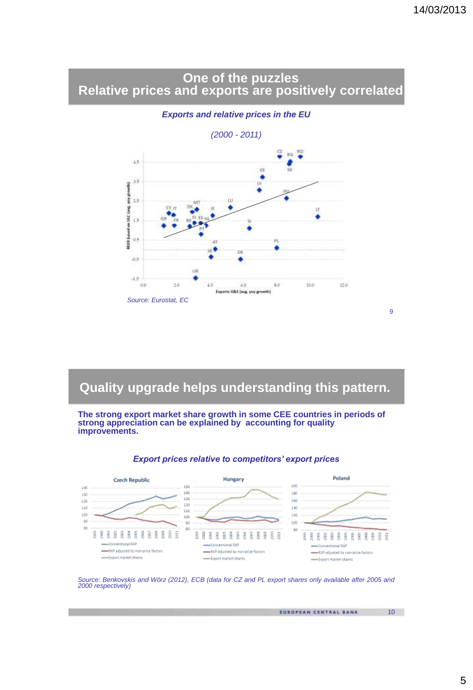### **One of the puzzles Relative prices and exports are positively correlated**

*(2000 - 2011)*  $\bullet$ ç 9G 33 E 15 iv  $\begin{bmatrix} \frac{1}{2} & \frac{1}{2} & \frac{1}{2} & \frac{1}{2} & \frac{1}{2} & \frac{1}{2} & \frac{1}{2} & \frac{1}{2} & \frac{1}{2} & \frac{1}{2} & \frac{1}{2} & \frac{1}{2} & \frac{1}{2} & \frac{1}{2} & \frac{1}{2} & \frac{1}{2} & \frac{1}{2} & \frac{1}{2} & \frac{1}{2} & \frac{1}{2} & \frac{1}{2} & \frac{1}{2} & \frac{1}{2} & \frac{1}{2} & \frac{1}{2} & \frac{1}{2} & \frac{1}{2$ LU<sub>1</sub> ć  $\Omega$ FL.  $at$  5  $\dot{u}$  $-1.3$  $0.0$ 10  $10.0$  $12.0$  $4.0$  $6.0\,$  $8.0$ Exports G&S (seg. yoy growth) *Source: Eurostat, EC*

### *Exports and relative prices in the EU*

# **Quality upgrade helps understanding this pattern.**

**The strong export market share growth in some CEE countries in periods of strong appreciation can be explained by accounting for quality improvements.**



### *Export prices relative to competitors' export prices*

Source: Benkovskis and Wörz (2012), ECB (data for CZ and PL export shares only available after 2005 and *2000 respectively)*

EUROPEAN CENTRAL BANK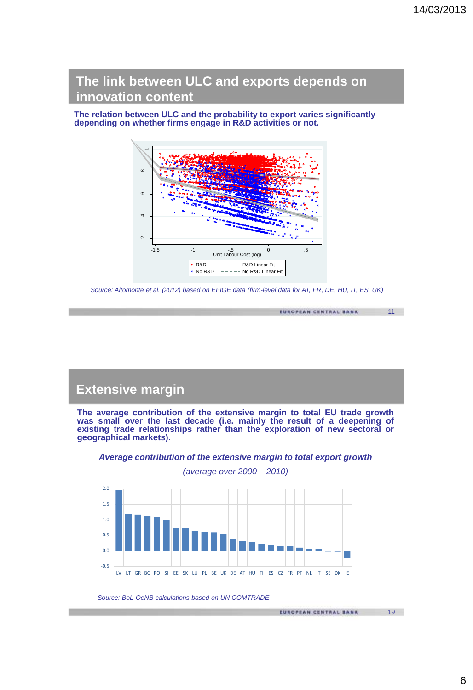EUROPEAN CENTRAL BANK

19

**The link between ULC and exports depends on innovation content**

**The relation between ULC and the probability to export varies significantly depending on whether firms engage in R&D activities or not.**



Source: Altomonte et al. (2012) based on EFIGE data (firm-level data for AT, FR, DE, HU, IT, ES, UK)

### **Extensive margin**

**The average contribution of the extensive margin to total EU trade growth was small over the last decade (i.e. mainly the result of a deepening of existing trade relationships rather than the exploration of new sectoral or geographical markets).**



*Average contribution of the extensive margin to total export growth*

*Source: BoL-OeNB calculations based on UN COMTRADE*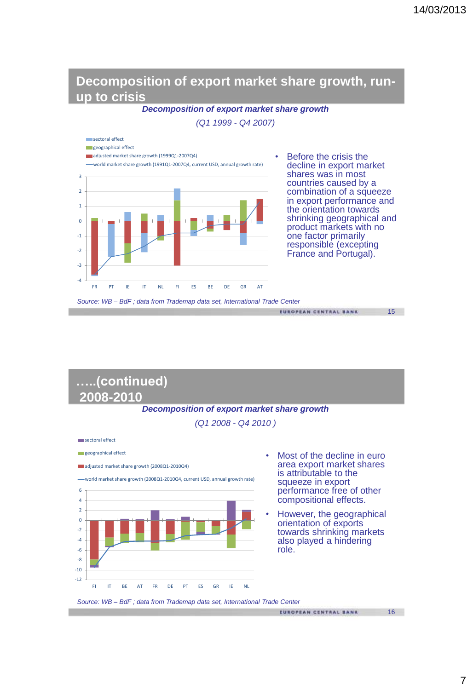### **Decomposition of export market share growth, runup to crisis**

*Decomposition of export market share growth* 

*(Q1 1999 - Q4 2007)* 



#### *Decomposition of export market share growth (Q1 2008 - Q4 2010 ) Source: WB – BdF ; data from Trademap data set, International Trade Center* **…..(continued) 2008-2010** Most of the decline in euro area export market shares is attributable to the squeeze in export performance free of other compositional effects. • However, the geographical orientation of exports towards shrinking markets also played a hindering role. -12 -10 -8 -6 -4 -2  $\Omega$  $\overline{2}$ 4 6 FI IT BE AT FR DE PT ES GR IE NL sectoral effect geographical effect adjusted market share growth (2008Q1-2010Q4) world market share growth (2008Q1-2010Q4, current USD, annual growth rate)

16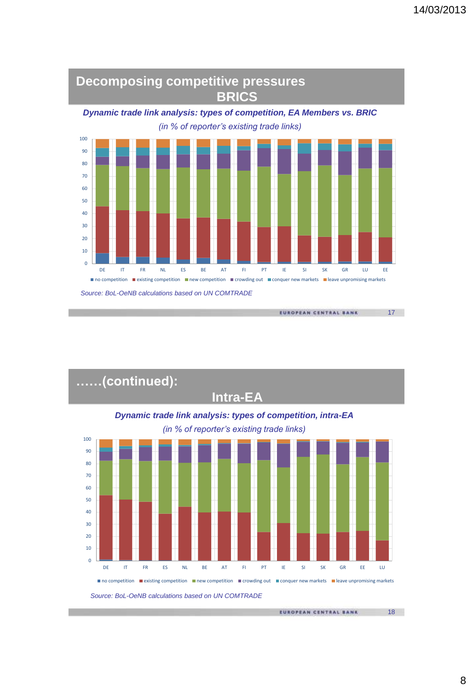

 *Source: BoL-OeNB calculations based on UN COMTRADE*



EUROPEAN CENTRAL BANK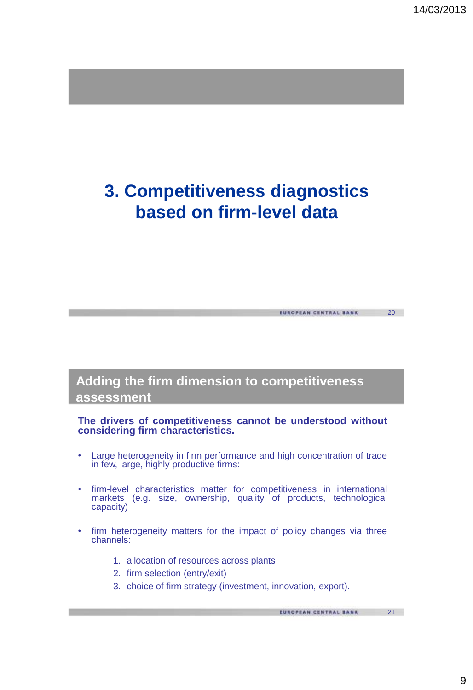21

# **3. Competitiveness diagnostics based on firm-level data**

## **Adding the firm dimension to competitiveness assessment**

#### **The drivers of competitiveness cannot be understood without considering firm characteristics.**

- Large heterogeneity in firm performance and high concentration of trade in few, large, highly productive firms:
- firm-level characteristics matter for competitiveness in international markets (e.g. size, ownership, quality of products, technological capacity)
- firm heterogeneity matters for the impact of policy changes via three channels:
	- 1. allocation of resources across plants
	- 2. firm selection (entry/exit)
	- 3. choice of firm strategy (investment, innovation, export).

```
EUROPEAN CENTRAL BANK
```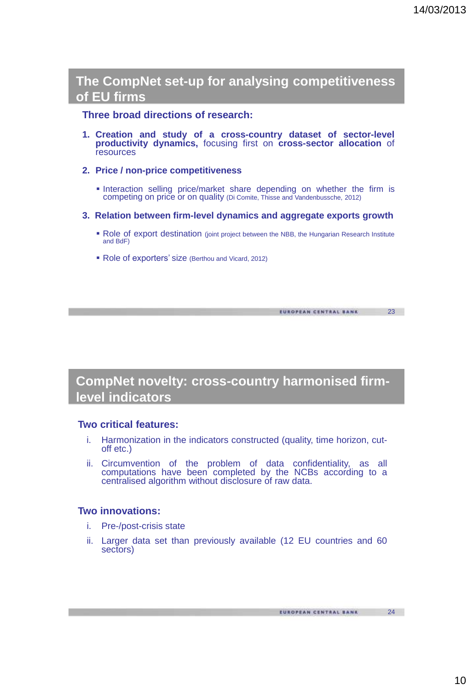### **The CompNet set-up for analysing competitiveness of EU firms**

### **Three broad directions of research:**

- **1. Creation and study of a cross-country dataset of sector-level productivity dynamics,** focusing first on **cross-sector allocation** of resources
- **2. Price / non-price competitiveness**
	- **Interaction selling price/market share depending on whether the firm is** competing on price or on quality (Di Comite, Thisse and Vandenbussche, 2012)
- **3. Relation between firm-level dynamics and aggregate exports growth**
	- Role of export destination (joint project between the NBB, the Hungarian Research Institute and BdF)
	- Role of exporters' size (Berthou and Vicard, 2012)

EUROPEAN CENTRAL BANK

23

24

### **CompNet novelty: cross-country harmonised firmlevel indicators**

### **Two critical features:**

- i. Harmonization in the indicators constructed (quality, time horizon, cutoff etc.)
- ii. Circumvention of the problem of data confidentiality, as all computations have been completed by the NCBs according to a centralised algorithm without disclosure of raw data.

### **Two innovations:**

- i. Pre-/post-crisis state
- ii. Larger data set than previously available (12 EU countries and 60 sectors)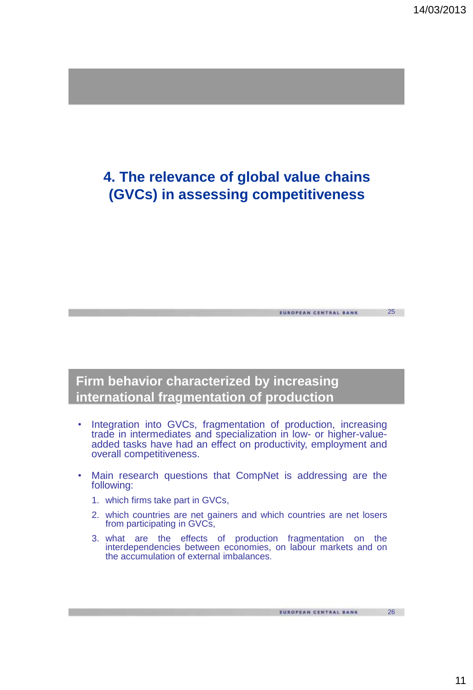26

# **4. The relevance of global value chains (GVCs) in assessing competitiveness**

# **Firm behavior characterized by increasing international fragmentation of production**

- Integration into GVCs, fragmentation of production, increasing trade in intermediates and specialization in low- or higher-valueadded tasks have had an effect on productivity, employment and overall competitiveness.
- Main research questions that CompNet is addressing are the following:
	- 1. which firms take part in GVCs,
	- 2. which countries are net gainers and which countries are net losers from participating in GVCs,
	- 3. what are the effects of production fragmentation on the interdependencies between economies, on labour markets and on the accumulation of external imbalances.

EUROPEAN CENTRAL BANK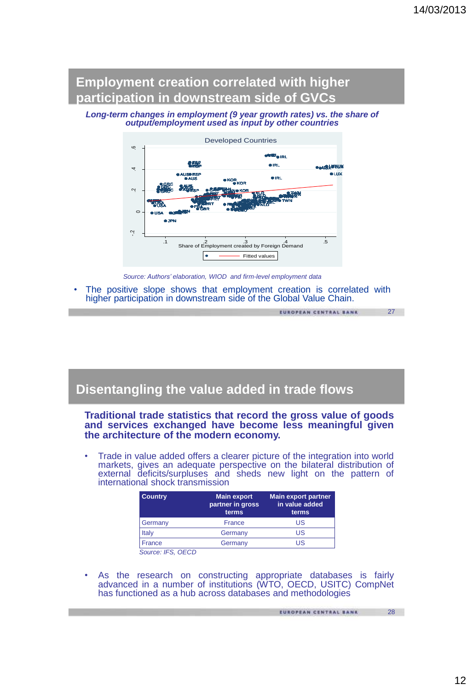## **Employment creation correlated with higher participation in downstream side of GVCs**

#### *Long-term changes in employment (9 year growth rates) vs. the share of output/employment used as input by other countries*



*Source: Authors' elaboration, WIOD and firm-level employment data*

The positive slope shows that employment creation is correlated with higher participation in downstream side of the Global Value Chain.

EUROPEAN CENTRAL BANK

27

### **Disentangling the value added in trade flows**

#### **Traditional trade statistics that record the gross value of goods and services exchanged have become less meaningful given the architecture of the modern economy.**

• Trade in value added offers a clearer picture of the integration into world markets, gives an adequate perspective on the bilateral distribution of external deficits/surpluses and sheds new light on the pattern of international shock transmission

| <b>Country</b>    | <b>Main export</b><br>partner in gross<br>terms | <b>Main export partner</b><br>in value added<br>terms |
|-------------------|-------------------------------------------------|-------------------------------------------------------|
| Germany           | France                                          | US                                                    |
| Italy             | Germany                                         | US                                                    |
| France            | Germany                                         | US                                                    |
| Source: IFS, OFCD |                                                 |                                                       |

• As the research on constructing appropriate databases is fairly advanced in a number of institutions (WTO, OECD, USITC) CompNet has functioned as a hub across databases and methodologies

EUROPEAN CENTRAL BANK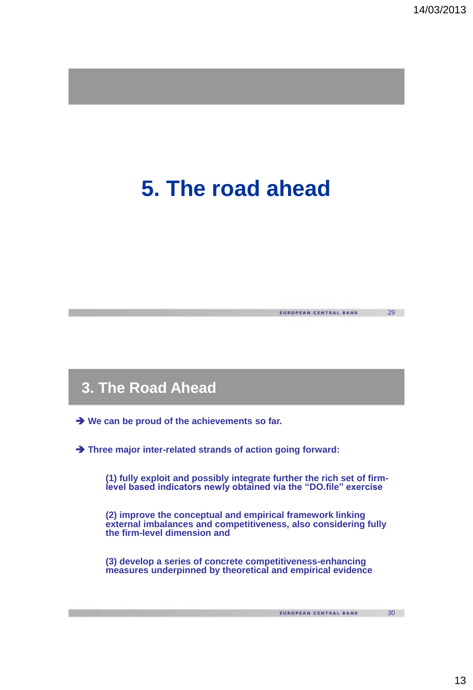# **5. The road ahead**

# **3. The Road Ahead**

**We can be proud of the achievements so far.**

**Three major inter-related strands of action going forward:** 

**(1) fully exploit and possibly integrate further the rich set of firmlevel based indicators newly obtained via the "DO.file" exercise** 

**(2) improve the conceptual and empirical framework linking external imbalances and competitiveness, also considering fully the firm-level dimension and** 

**(3) develop a series of concrete competitiveness-enhancing measures underpinned by theoretical and empirical evidence**

EUROPEAN CENTRAL BANK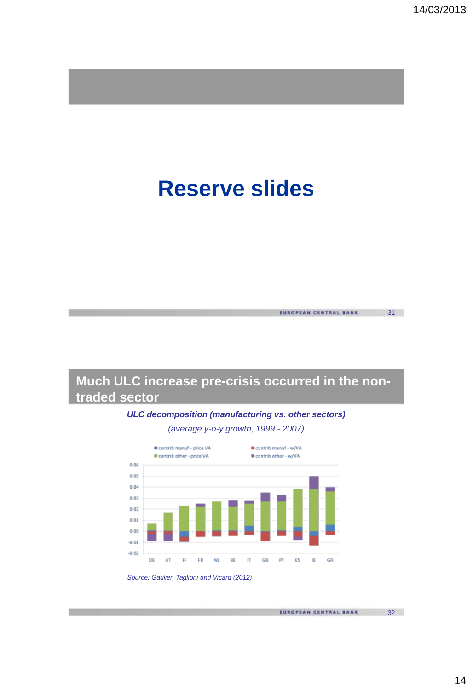# **Reserve slides**





*ULC decomposition (manufacturing vs. other sectors)*



EUROPEAN CENTRAL BANK

32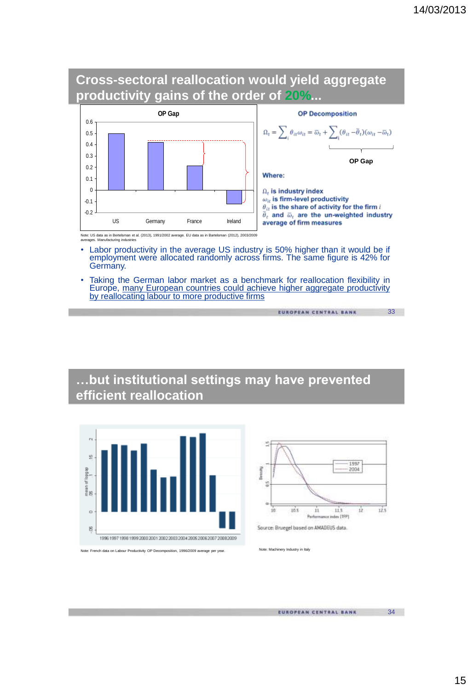



- Labor productivity in the average US industry is 50% higher than it would be if employment were allocated randomly across firms. The same figure is 42% for Germany.
- Taking the German labor market as a benchmark for reallocation flexibility in Europe, many European countries could achieve higher aggregate productivity by reallocating labour to more productive firms

```
EUROPEAN CENTRAL BANK
```
# **…but institutional settings may have prevented efficient reallocation**





Source: Bruegel based on AMADEUS data.

EUROPEAN CENTRAL BANK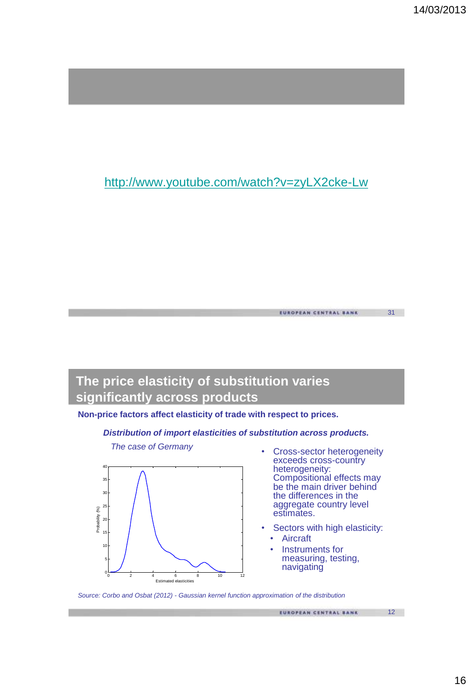## <http://www.youtube.com/watch?v=zyLX2cke-Lw>

# **The price elasticity of substitution varies significantly across products**

### **Non-price factors affect elasticity of trade with respect to prices.**

#### *Distribution of import elasticities of substitution across products.*



*The case of Germany* 

• Cross-sector heterogeneity exceeds cross-country heterogeneity: Compositional effects may be the main driver behind the differences in the aggregate country level estimates.

EUROPEAN CENTRAL BANK

- Sectors with high elasticity:
	- Aircraft
	- Instruments for measuring, testing, navigating

*Source: Corbo and Osbat (2012) - Gaussian kernel function approximation of the distribution*

EUROPEAN CENTRAL BANK

31